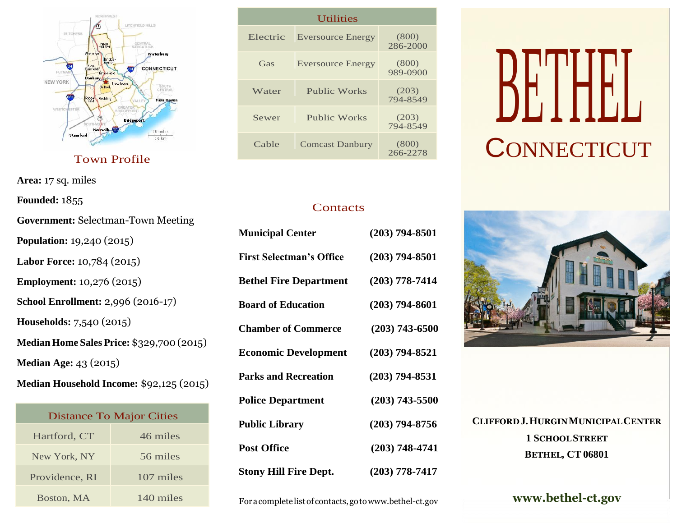

Town Profile

**Area:** 17 sq. miles

**Founded:** 1855

| <b>Government: Selectman-Town Meeting</b>        |
|--------------------------------------------------|
| Population: 19,240 (2015)                        |
| Labor Force: 10,784 (2015)                       |
| <b>Employment: 10,276 (2015)</b>                 |
| School Enrollment: 2,996 (2016-17)               |
| Households: 7,540 (2015)                         |
| <b>Median Home Sales Price: \$329,700 (2015)</b> |
| <b>Median Age: 43 (2015)</b>                     |
| Median Household Income: \$92,125 (2015)         |
|                                                  |

| <b>Distance To Major Cities</b> |           |  |  |
|---------------------------------|-----------|--|--|
| Hartford, CT                    | 46 miles  |  |  |
| New York, NY                    | 56 miles  |  |  |
| Providence, RI                  | 107 miles |  |  |
| Boston, MA                      | 140 miles |  |  |

| <i><u><b>U</b>tilities</u></i> |                          |                   |  |  |
|--------------------------------|--------------------------|-------------------|--|--|
| Electric                       | <b>Eversource Energy</b> | (800)<br>286-2000 |  |  |
| Gas                            | <b>Eversource Energy</b> | (800)<br>989-0900 |  |  |
| Water                          | <b>Public Works</b>      | (203)<br>794-8549 |  |  |
| Sewer                          | Public Works             | (203)<br>794-8549 |  |  |
| Cable                          | <b>Comcast Danbury</b>   | (800)<br>266-2278 |  |  |

### **Contacts**

| <b>Municipal Center</b>         | $(203)$ 794-8501 |
|---------------------------------|------------------|
| <b>First Selectman's Office</b> | $(203)$ 794-8501 |
| <b>Bethel Fire Department</b>   | $(203)$ 778-7414 |
| <b>Board of Education</b>       | $(203)$ 794-8601 |
| <b>Chamber of Commerce</b>      | $(203)$ 743-6500 |
| <b>Economic Development</b>     | $(203)$ 794-8521 |
| <b>Parks and Recreation</b>     | $(203)$ 794-8531 |
| <b>Police Department</b>        | $(203)$ 743-5500 |
| <b>Public Library</b>           | $(203)$ 794-8756 |
| <b>Post Office</b>              | $(203)$ 748-4741 |
| <b>Stony Hill Fire Dept.</b>    | $(203)$ 778-7417 |

Foracomplete listof contacts,got[owww.bethel-ct.gov](http://www.bethel-ct.gov/)

# DETHELL **CONNECTICUT**



**CLIFFORDJ.HURGINMUNICIPALCENTER 1 SCHOOLSTREET BETHEL, CT 06801**

**[www.bethel-ct.gov](http://www.bethel-ct.gov/)**